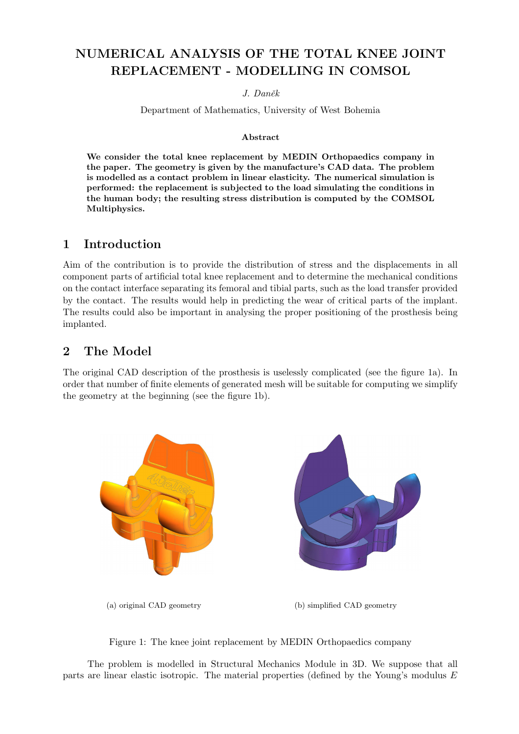# NUMERICAL ANALYSIS OF THE TOTAL KNEE JOINT REPLACEMENT - MODELLING IN COMSOL

#### J. Daněk

Department of Mathematics, University of West Bohemia

#### Abstract

We consider the total knee replacement by MEDIN Orthopaedics company in the paper. The geometry is given by the manufacture's CAD data. The problem is modelled as a contact problem in linear elasticity. The numerical simulation is performed: the replacement is subjected to the load simulating the conditions in the human body; the resulting stress distribution is computed by the COMSOL Multiphysics.

### 1 Introduction

Aim of the contribution is to provide the distribution of stress and the displacements in all component parts of artificial total knee replacement and to determine the mechanical conditions on the contact interface separating its femoral and tibial parts, such as the load transfer provided by the contact. The results would help in predicting the wear of critical parts of the implant. The results could also be important in analysing the proper positioning of the prosthesis being implanted.

### 2 The Model

The original CAD description of the prosthesis is uselessly complicated (see the figure 1a). In order that number of finite elements of generated mesh will be suitable for computing we simplify the geometry at the beginning (see the figure 1b).





The problem is modelled in Structural Mechanics Module in 3D. We suppose that all parts are linear elastic isotropic. The material properties (defined by the Young's modulus E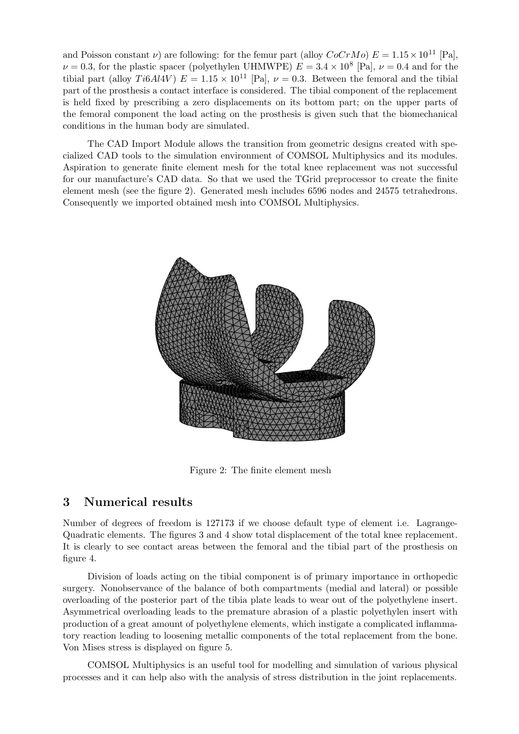and Poisson constant  $\nu$ ) are following: for the femur part (alloy  $CoCrMo$ )  $E = 1.15 \times 10^{11}$  [Pa],  $\nu = 0.3$ , for the plastic spacer (polyethylen UHMWPE)  $E = 3.4 \times 10^8$  [Pa],  $\nu = 0.4$  and for the tibial part (alloy Ti6Al4V)  $E = 1.15 \times 10^{11}$  [Pa],  $\nu = 0.3$ . Between the femoral and the tibial part of the prosthesis a contact interface is considered. The tibial component of the replacement is held fixed by prescribing a zero displacements on its bottom part; on the upper parts of the femoral component the load acting on the prosthesis is given such that the biomechanical conditions in the human body are simulated.

The CAD Import Module allows the transition from geometric designs created with specialized CAD tools to the simulation environment of COMSOL Multiphysics and its modules. Aspiration to generate finite element mesh for the total knee replacement was not successful for our manufacture's CAD data. So that we used the TGrid preprocessor to create the finite element mesh (see the figure 2). Generated mesh includes 6596 nodes and 24575 tetrahedrons. Consequently we imported obtained mesh into COMSOL Multiphysics.



Figure 2: The finite element mesh

### 3 Numerical results

Number of degrees of freedom is 127173 if we choose default type of element i.e. Lagrange-Quadratic elements. The figures 3 and 4 show total displacement of the total knee replacement. It is clearly to see contact areas between the femoral and the tibial part of the prosthesis on figure 4.

Division of loads acting on the tibial component is of primary importance in orthopedic surgery. Nonobservance of the balance of both compartments (medial and lateral) or possible overloading of the posterior part of the tibia plate leads to wear out of the polyethylene insert. Asymmetrical overloading leads to the premature abrasion of a plastic polyethylen insert with production of a great amount of polyethylene elements, which instigate a complicated inflammatory reaction leading to loosening metallic components of the total replacement from the bone. Von Mises stress is displayed on figure 5.

COMSOL Multiphysics is an useful tool for modelling and simulation of various physical processes and it can help also with the analysis of stress distribution in the joint replacements.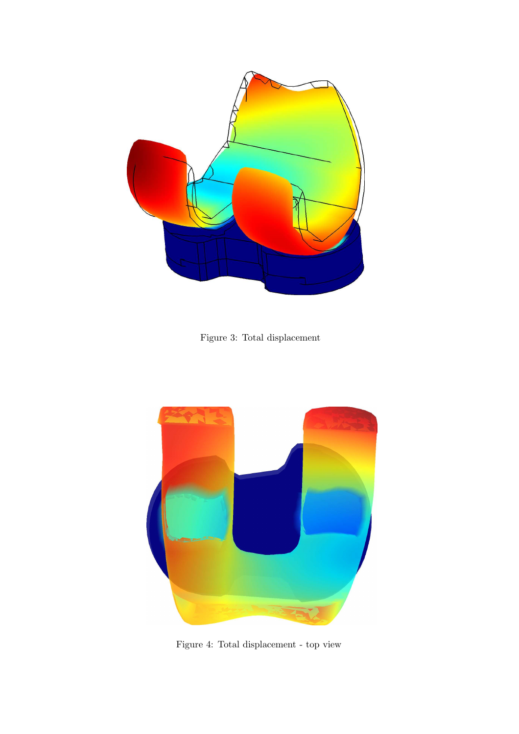

Figure 3: Total displacement



Figure 4: Total displacement - top view